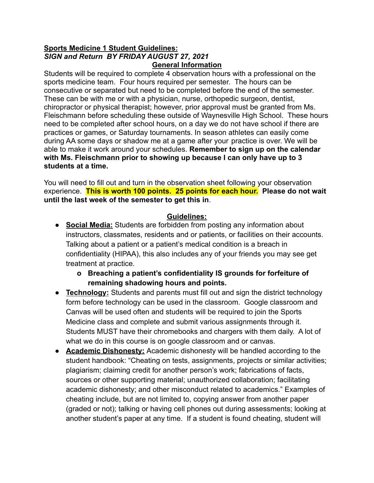#### **Sports Medicine 1 Student Guidelines:** *SIGN and Return BY FRIDAY AUGUST 27, 2021* **General Information**

Students will be required to complete 4 observation hours with a professional on the sports medicine team. Four hours required per semester. The hours can be consecutive or separated but need to be completed before the end of the semester. These can be with me or with a physician, nurse, orthopedic surgeon, dentist, chiropractor or physical therapist; however, prior approval must be granted from Ms. Fleischmann before scheduling these outside of Waynesville High School. These hours need to be completed after school hours, on a day we do not have school if there are practices or games, or Saturday tournaments. In season athletes can easily come during AA some days or shadow me at a game after your practice is over. We will be able to make it work around your schedules. **Remember to sign up on the calendar with Ms. Fleischmann prior to showing up because I can only have up to 3 students at a time.**

You will need to fill out and turn in the observation sheet following your observation experience. **This is worth 100 points. 25 points for each hour. Please do not wait until the last week of the semester to get this in**.

#### **Guidelines:**

- **● Social Media:** Students are forbidden from posting any information about instructors, classmates, residents and or patients, or facilities on their accounts. Talking about a patient or a patient's medical condition is a breach in confidentiality (HIPAA), this also includes any of your friends you may see get treatment at practice.
	- **o Breaching a patient's confidentiality IS grounds for forfeiture of remaining shadowing hours and points.**
- **Technology:** Students and parents must fill out and sign the district technology form before technology can be used in the classroom. Google classroom and Canvas will be used often and students will be required to join the Sports Medicine class and complete and submit various assignments through it. Students MUST have their chromebooks and chargers with them daily. A lot of what we do in this course is on google classroom and or canvas.
- **Academic Dishonesty:** Academic dishonesty will be handled according to the student handbook: "Cheating on tests, assignments, projects or similar activities; plagiarism; claiming credit for another person's work; fabrications of facts, sources or other supporting material; unauthorized collaboration; facilitating academic dishonesty; and other misconduct related to academics." Examples of cheating include, but are not limited to, copying answer from another paper (graded or not); talking or having cell phones out during assessments; looking at another student's paper at any time. If a student is found cheating, student will